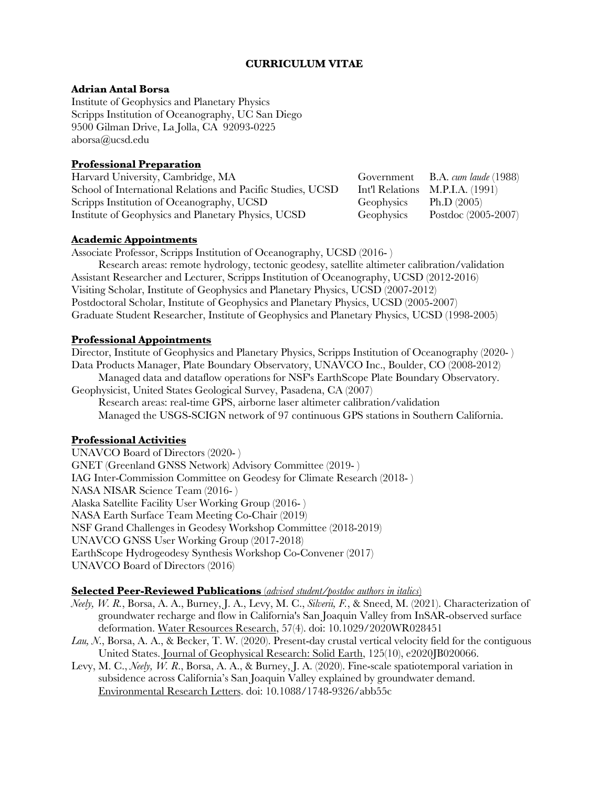## **CURRICULUM VITAE**

### **Adrian Antal Borsa**

Institute of Geophysics and Planetary Physics Scripps Institution of Oceanography, UC San Diego 9500 Gilman Drive, La Jolla, CA 92093-0225 aborsa@ucsd.edu

# **Professional Preparation**

Harvard University, Cambridge, MA Government B.A. *cum laude* (1988) School of International Relations and Pacific Studies, UCSD Int'l Relations M.P.I.A. (1991) Scripps Institution of Oceanography, UCSD Geophysics Ph.D (2005) Institute of Geophysics and Planetary Physics, UCSD Geophysics Postdoc (2005-2007)

### **Academic Appointments**

Associate Professor, Scripps Institution of Oceanography, UCSD (2016- )

Research areas: remote hydrology, tectonic geodesy, satellite altimeter calibration/validation Assistant Researcher and Lecturer, Scripps Institution of Oceanography, UCSD (2012-2016) Visiting Scholar, Institute of Geophysics and Planetary Physics, UCSD (2007-2012) Postdoctoral Scholar, Institute of Geophysics and Planetary Physics, UCSD (2005-2007) Graduate Student Researcher, Institute of Geophysics and Planetary Physics, UCSD (1998-2005)

### **Professional Appointments**

Director, Institute of Geophysics and Planetary Physics, Scripps Institution of Oceanography (2020-) Data Products Manager, Plate Boundary Observatory, UNAVCO Inc., Boulder, CO (2008-2012) Managed data and dataflow operations for NSF's EarthScope Plate Boundary Observatory. Geophysicist, United States Geological Survey, Pasadena, CA (2007) Research areas: real-time GPS, airborne laser altimeter calibration/validation Managed the USGS-SCIGN network of 97 continuous GPS stations in Southern California.

### **Professional Activities**

UNAVCO Board of Directors (2020- ) GNET (Greenland GNSS Network) Advisory Committee (2019- ) IAG Inter-Commission Committee on Geodesy for Climate Research (2018- ) NASA NISAR Science Team (2016- ) Alaska Satellite Facility User Working Group (2016- ) NASA Earth Surface Team Meeting Co-Chair (2019) NSF Grand Challenges in Geodesy Workshop Committee (2018-2019) UNAVCO GNSS User Working Group (2017-2018) EarthScope Hydrogeodesy Synthesis Workshop Co-Convener (2017) UNAVCO Board of Directors (2016)

### **Selected Peer-Reviewed Publications** (*advised student/postdoc authors in italics*)

- *Neely, W. R.*, Borsa, A. A., Burney, J. A., Levy, M. C., *Silverii, F.*, & Sneed, M. (2021). Characterization of groundwater recharge and flow in California's San Joaquin Valley from InSAR‐observed surface deformation. Water Resources Research, 57(4). doi: 10.1029/2020WR028451
- *Lau, N*., Borsa, A. A., & Becker, T. W. (2020). Present‐day crustal vertical velocity field for the contiguous United States. Journal of Geophysical Research: Solid Earth, 125(10), e2020JB020066.
- Levy, M. C., *Neely, W. R*., Borsa, A. A., & Burney, J. A. (2020). Fine-scale spatiotemporal variation in subsidence across California's San Joaquin Valley explained by groundwater demand. Environmental Research Letters. doi: 10.1088/1748-9326/abb55c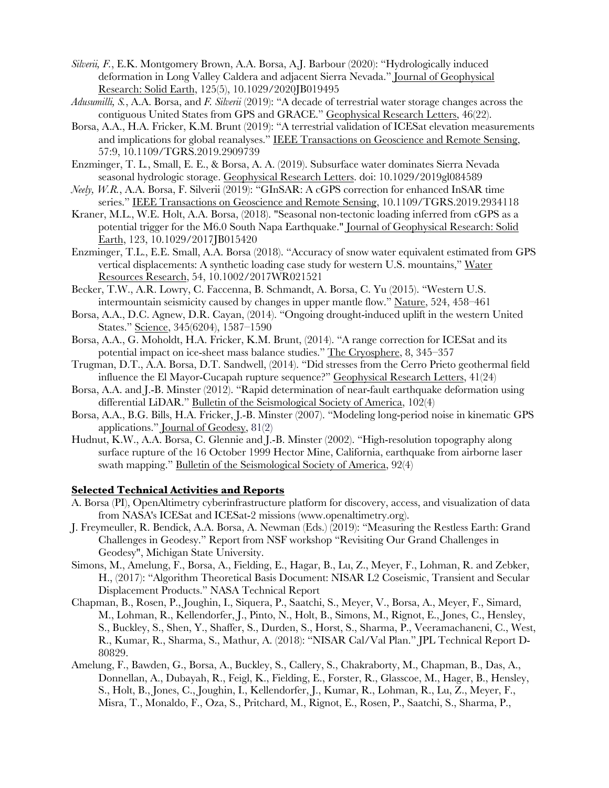- *Silverii, F.*, E.K. Montgomery Brown, A.A. Borsa, A.J. Barbour (2020): "Hydrologically induced deformation in Long Valley Caldera and adjacent Sierra Nevada." Journal of Geophysical Research: Solid Earth, 125(5), 10.1029/2020JB019495
- *Adusumilli, S.*, A.A. Borsa, and *F. Silverii* (2019): "A decade of terrestrial water storage changes across the contiguous United States from GPS and GRACE." Geophysical Research Letters, 46(22).
- Borsa, A.A., H.A. Fricker, K.M. Brunt (2019): "A terrestrial validation of ICESat elevation measurements and implications for global reanalyses." IEEE Transactions on Geoscience and Remote Sensing, 57:9, 10.1109/TGRS.2019.2909739
- Enzminger, T. L*.*, Small, E. E., & Borsa, A. A. (2019). Subsurface water dominates Sierra Nevada seasonal hydrologic storage. Geophysical Research Letters. doi: 10.1029/2019gl084589
- *Neely, W.R.*, A.A. Borsa, F. Silverii (2019): "GInSAR: A cGPS correction for enhanced InSAR time series." IEEE Transactions on Geoscience and Remote Sensing, 10.1109/TGRS.2019.2934118
- Kraner, M.L., W.E. Holt, A.A. Borsa, (2018). "Seasonal non-tectonic loading inferred from cGPS as a potential trigger for the M6.0 South Napa Earthquake." Journal of Geophysical Research: Solid Earth, 123, 10.1029/2017JB015420
- Enzminger, T.L., E.E. Small, A.A. Borsa (2018). "Accuracy of snow water equivalent estimated from GPS vertical displacements: A synthetic loading case study for western U.S. mountains," Water Resources Research, 54, 10.1002/2017WR021521
- Becker, T.W., A.R. Lowry, C. Faccenna, B. Schmandt, A. Borsa, C. Yu (2015). "Western U.S. intermountain seismicity caused by changes in upper mantle flow." Nature, 524, 458–461
- Borsa, A.A., D.C. Agnew, D.R. Cayan, (2014). "Ongoing drought-induced uplift in the western United States." Science, 345(6204), 1587–1590
- Borsa, A.A., G. Moholdt, H.A. Fricker, K.M. Brunt, (2014). "A range correction for ICESat and its potential impact on ice-sheet mass balance studies." The Cryosphere, 8, 345–357
- Trugman, D.T., A.A. Borsa, D.T. Sandwell, (2014). "Did stresses from the Cerro Prieto geothermal field influence the El Mayor-Cucapah rupture sequence?" Geophysical Research Letters, 41(24)
- Borsa, A.A. and J.-B. Minster (2012). "Rapid determination of near-fault earthquake deformation using differential LiDAR." Bulletin of the Seismological Society of America, 102(4)
- Borsa, A.A., B.G. Bills, H.A. Fricker, J.-B. Minster (2007). "Modeling long-period noise in kinematic GPS applications." Journal of Geodesy, 81(2)
- Hudnut, K.W., A.A. Borsa, C. Glennie and J.-B. Minster (2002). "High-resolution topography along surface rupture of the 16 October 1999 Hector Mine, California, earthquake from airborne laser swath mapping." Bulletin of the Seismological Society of America, 92(4)

#### **Selected Technical Activities and Reports**

- A. Borsa (PI), OpenAltimetry cyberinfrastructure platform for discovery, access, and visualization of data from NASA's ICESat and ICESat-2 missions (www.openaltimetry.org).
- J. Freymeuller, R. Bendick, A.A. Borsa, A. Newman (Eds.) (2019): "Measuring the Restless Earth: Grand Challenges in Geodesy." Report from NSF workshop "Revisiting Our Grand Challenges in Geodesy", Michigan State University.
- Simons, M., Amelung, F., Borsa, A., Fielding, E., Hagar, B., Lu, Z., Meyer, F., Lohman, R. and Zebker, H., (2017): "Algorithm Theoretical Basis Document: NISAR L2 Coseismic, Transient and Secular Displacement Products." NASA Technical Report
- Chapman, B., Rosen, P., Joughin, I., Siquera, P., Saatchi, S., Meyer, V., Borsa, A., Meyer, F., Simard, M., Lohman, R., Kellendorfer, J., Pinto, N., Holt, B., Simons, M., Rignot, E., Jones, C., Hensley, S., Buckley, S., Shen, Y., Shaffer, S., Durden, S., Horst, S., Sharma, P., Veeramachaneni, C., West, R., Kumar, R., Sharma, S., Mathur, A. (2018): "NISAR Cal/Val Plan." JPL Technical Report D-80829.
- Amelung, F., Bawden, G., Borsa, A., Buckley, S., Callery, S., Chakraborty, M., Chapman, B., Das, A., Donnellan, A., Dubayah, R., Feigl, K., Fielding, E., Forster, R., Glasscoe, M., Hager, B., Hensley, S., Holt, B., Jones, C., Joughin, I., Kellendorfer, J., Kumar, R., Lohman, R., Lu, Z., Meyer, F., Misra, T., Monaldo, F., Oza, S., Pritchard, M., Rignot, E., Rosen, P., Saatchi, S., Sharma, P.,